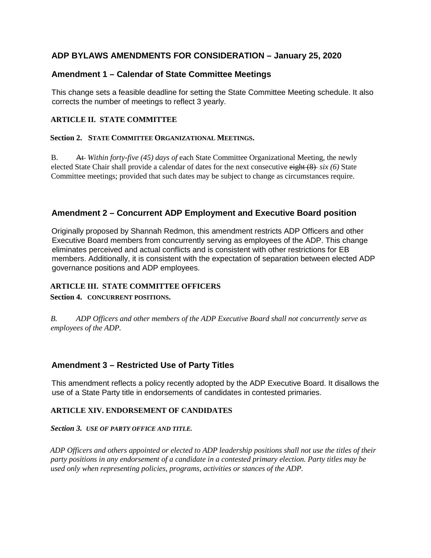# **ADP BYLAWS AMENDMENTS FOR CONSIDERATION – January 25, 2020**

## **Amendment 1 – Calendar of State Committee Meetings**

This change sets a feasible deadline for setting the State Committee Meeting schedule. It also corrects the number of meetings to reflect 3 yearly.

### **ARTICLE II. STATE COMMITTEE**

#### **Section 2. STATE COMMITTEE ORGANIZATIONAL MEETINGS.**

B. At *Within forty-five (45) days of* each State Committee Organizational Meeting, the newly elected State Chair shall provide a calendar of dates for the next consecutive eight (8) *six (6)* State Committee meetings; provided that such dates may be subject to change as circumstances require.

## **Amendment 2 – Concurrent ADP Employment and Executive Board position**

Originally proposed by Shannah Redmon, this amendment restricts ADP Officers and other Executive Board members from concurrently serving as employees of the ADP. This change eliminates perceived and actual conflicts and is consistent with other restrictions for EB members. Additionally, it is consistent with the expectation of separation between elected ADP governance positions and ADP employees.

### **ARTICLE III. STATE COMMITTEE OFFICERS**

**Section 4. CONCURRENT POSITIONS.** 

*B. ADP Officers and other members of the ADP Executive Board shall not concurrently serve as employees of the ADP.*

## **Amendment 3 – Restricted Use of Party Titles**

This amendment reflects a policy recently adopted by the ADP Executive Board. It disallows the use of a State Party title in endorsements of candidates in contested primaries.

### **ARTICLE XIV. ENDORSEMENT OF CANDIDATES**

*Section 3. USE OF PARTY OFFICE AND TITLE.*

*ADP Officers and others appointed or elected to ADP leadership positions shall not use the titles of their party positions in any endorsement of a candidate in a contested primary election. Party titles may be used only when representing policies, programs, activities or stances of the ADP.*